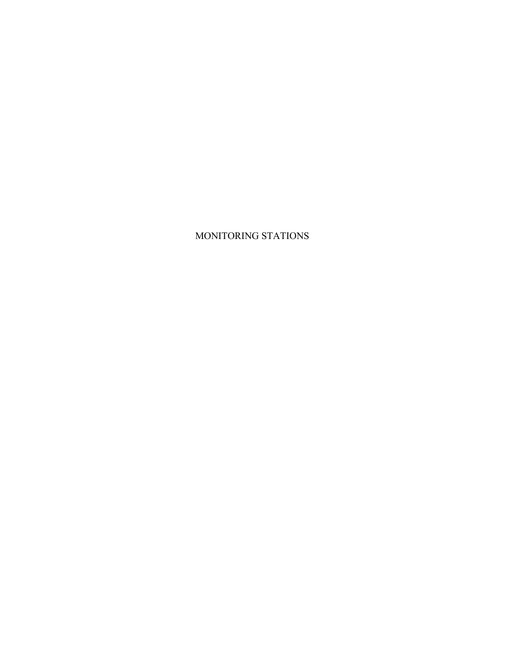## MONITORING STATIONS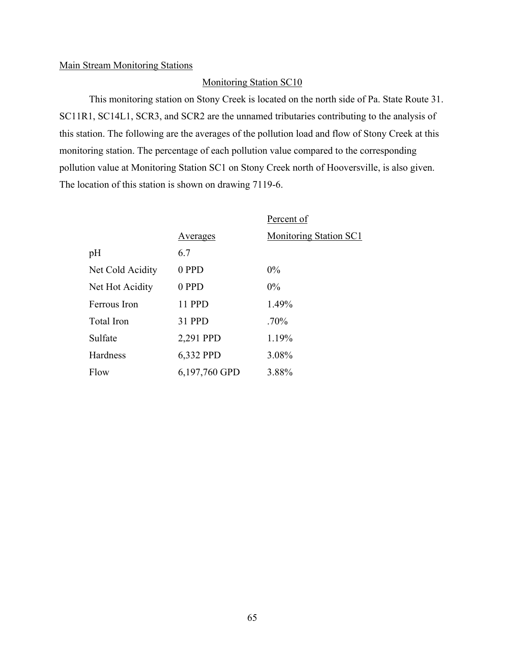#### Main Stream Monitoring Stations

### Monitoring Station SC10

This monitoring station on Stony Creek is located on the north side of Pa. State Route 31. SC11R1, SC14L1, SCR3, and SCR2 are the unnamed tributaries contributing to the analysis of this station. The following are the averages of the pollution load and flow of Stony Creek at this monitoring station. The percentage of each pollution value compared to the corresponding pollution value at Monitoring Station SC1 on Stony Creek north of Hooversville, is also given. The location of this station is shown on drawing 7119-6.

|                   |               | Percent of             |
|-------------------|---------------|------------------------|
|                   | Averages      | Monitoring Station SC1 |
| pH                | 6.7           |                        |
| Net Cold Acidity  | 0 PPD         | $0\%$                  |
| Net Hot Acidity   | 0 PPD         | $0\%$                  |
| Ferrous Iron      | 11 PPD        | 1.49%                  |
| <b>Total Iron</b> | 31 PPD        | $.70\%$                |
| Sulfate           | 2,291 PPD     | 1.19%                  |
| Hardness          | 6,332 PPD     | 3.08%                  |
| Flow              | 6,197,760 GPD | 3.88%                  |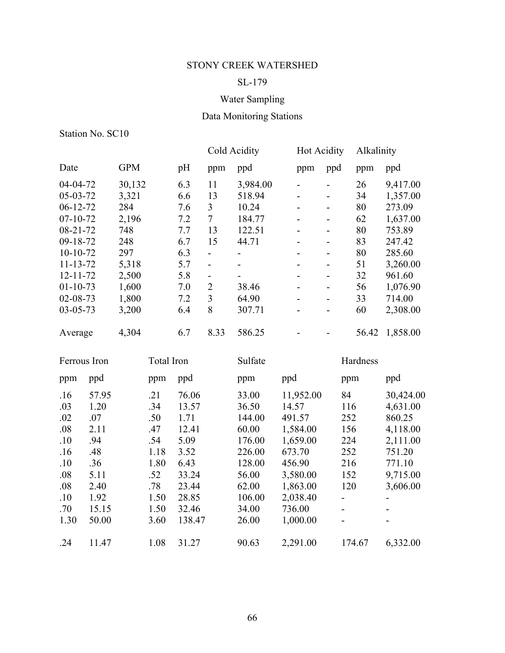## SL-179

## Water Sampling

# Data Monitoring Stations

|                                                                                                                                                                                          |                                                                                             |                                                                                                   |                                                                                       |                                                                                                       | Cold Acidity                                                                                                                                                                |                                                                                                               | <b>Hot Acidity</b>                                                                                                                                                                               |                                                                                                                                                                                                                                                        | Alkalinity                                                                                                                 |                                                                                                                                                             |
|------------------------------------------------------------------------------------------------------------------------------------------------------------------------------------------|---------------------------------------------------------------------------------------------|---------------------------------------------------------------------------------------------------|---------------------------------------------------------------------------------------|-------------------------------------------------------------------------------------------------------|-----------------------------------------------------------------------------------------------------------------------------------------------------------------------------|---------------------------------------------------------------------------------------------------------------|--------------------------------------------------------------------------------------------------------------------------------------------------------------------------------------------------|--------------------------------------------------------------------------------------------------------------------------------------------------------------------------------------------------------------------------------------------------------|----------------------------------------------------------------------------------------------------------------------------|-------------------------------------------------------------------------------------------------------------------------------------------------------------|
| Date                                                                                                                                                                                     |                                                                                             | <b>GPM</b>                                                                                        |                                                                                       | pH                                                                                                    | ppm                                                                                                                                                                         | ppd                                                                                                           | ppm                                                                                                                                                                                              | ppd                                                                                                                                                                                                                                                    | ppm                                                                                                                        | ppd                                                                                                                                                         |
| 04-04-72<br>05-03-72<br>$06 - 12 - 72$<br>$07 - 10 - 72$<br>$08 - 21 - 72$<br>09-18-72<br>$10-10-72$<br>$11 - 13 - 72$<br>$12 - 11 - 72$<br>$01 - 10 - 73$<br>02-08-73<br>$03 - 05 - 73$ |                                                                                             | 30,132<br>3,321<br>284<br>2,196<br>748<br>248<br>297<br>5,318<br>2,500<br>1,600<br>1,800<br>3,200 |                                                                                       | 6.3<br>6.6<br>7.6<br>7.2<br>7.7<br>6.7<br>6.3<br>5.7<br>5.8<br>7.0<br>7.2<br>6.4                      | 11<br>13<br>$\mathfrak{Z}$<br>$\overline{7}$<br>13<br>15<br>$\overline{\phantom{0}}$<br>$\overline{a}$<br>$\qquad \qquad \blacksquare$<br>$\sqrt{2}$<br>$\overline{3}$<br>8 | 3,984.00<br>518.94<br>10.24<br>184.77<br>122.51<br>44.71<br>38.46<br>64.90<br>307.71                          | $\overline{\phantom{0}}$<br>$\qquad \qquad \blacksquare$<br>$\overline{a}$<br>$\overline{\phantom{a}}$<br>$\overline{a}$<br>$\overline{a}$<br>$\overline{a}$<br>$\overline{a}$<br>$\blacksquare$ | $\overline{\phantom{0}}$<br>$\overline{\phantom{0}}$<br>$\overline{\phantom{0}}$<br>$\overline{\phantom{0}}$<br>$\overline{\phantom{0}}$<br>$\overline{a}$<br>$\overline{\phantom{a}}$<br>$\overline{\phantom{0}}$<br>$\overline{a}$<br>$\overline{a}$ | 26<br>34<br>80<br>62<br>80<br>83<br>80<br>51<br>32<br>56<br>33<br>60                                                       | 9,417.00<br>1,357.00<br>273.09<br>1,637.00<br>753.89<br>247.42<br>285.60<br>3,260.00<br>961.60<br>1,076.90<br>714.00<br>2,308.00                            |
| Average                                                                                                                                                                                  |                                                                                             | 4,304                                                                                             |                                                                                       | 6.7                                                                                                   | 8.33                                                                                                                                                                        | 586.25                                                                                                        |                                                                                                                                                                                                  | $\overline{\phantom{0}}$                                                                                                                                                                                                                               | 56.42                                                                                                                      | 1,858.00                                                                                                                                                    |
| Ferrous Iron                                                                                                                                                                             |                                                                                             |                                                                                                   | <b>Total Iron</b>                                                                     |                                                                                                       |                                                                                                                                                                             | Sulfate                                                                                                       |                                                                                                                                                                                                  |                                                                                                                                                                                                                                                        | Hardness                                                                                                                   |                                                                                                                                                             |
| ppm                                                                                                                                                                                      | ppd                                                                                         |                                                                                                   | ppm                                                                                   | ppd                                                                                                   |                                                                                                                                                                             | ppm                                                                                                           | ppd                                                                                                                                                                                              |                                                                                                                                                                                                                                                        | ppm                                                                                                                        | ppd                                                                                                                                                         |
| .16<br>.03<br>.02<br>.08<br>.10<br>.16<br>.10<br>.08<br>.08<br>.10<br>.70<br>1.30                                                                                                        | 57.95<br>1.20<br>.07<br>2.11<br>.94<br>.48<br>.36<br>5.11<br>2.40<br>1.92<br>15.15<br>50.00 |                                                                                                   | .21<br>.34<br>.50<br>.47<br>.54<br>1.18<br>1.80<br>.52<br>.78<br>1.50<br>1.50<br>3.60 | 76.06<br>13.57<br>1.71<br>12.41<br>5.09<br>3.52<br>6.43<br>33.24<br>23.44<br>28.85<br>32.46<br>138.47 |                                                                                                                                                                             | 33.00<br>36.50<br>144.00<br>60.00<br>176.00<br>226.00<br>128.00<br>56.00<br>62.00<br>106.00<br>34.00<br>26.00 | 11,952.00<br>14.57<br>491.57<br>1,584.00<br>1,659.00<br>673.70<br>456.90<br>3,580.00<br>1,863.00<br>2,038.40<br>736.00<br>1,000.00                                                               |                                                                                                                                                                                                                                                        | 84<br>116<br>252<br>156<br>224<br>252<br>216<br>152<br>120<br>$\overline{a}$<br>$\overline{\phantom{a}}$<br>$\overline{a}$ | 30,424.00<br>4,631.00<br>860.25<br>4,118.00<br>2,111.00<br>751.20<br>771.10<br>9,715.00<br>3,606.00<br>$\overline{\phantom{0}}$<br>$\overline{\phantom{0}}$ |
| .24                                                                                                                                                                                      | 11.47                                                                                       |                                                                                                   | 1.08                                                                                  | 31.27                                                                                                 |                                                                                                                                                                             | 90.63                                                                                                         | 2,291.00                                                                                                                                                                                         |                                                                                                                                                                                                                                                        | 174.67                                                                                                                     | 6,332.00                                                                                                                                                    |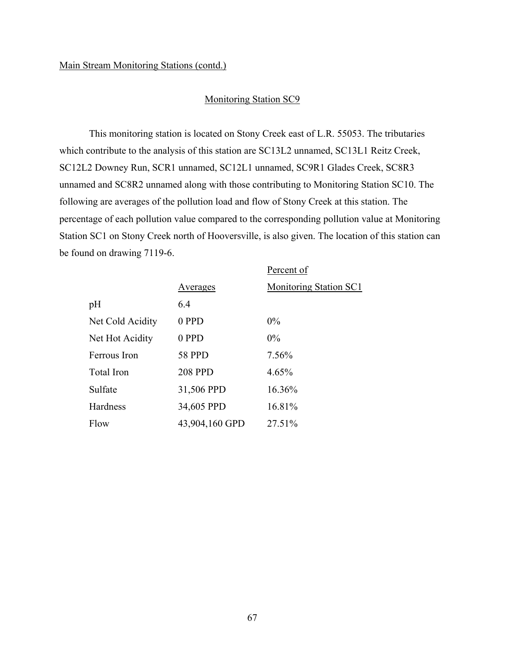### Monitoring Station SC9

This monitoring station is located on Stony Creek east of L.R. 55053. The tributaries which contribute to the analysis of this station are SC13L2 unnamed, SC13L1 Reitz Creek, SC12L2 Downey Run, SCR1 unnamed, SC12L1 unnamed, SC9R1 Glades Creek, SC8R3 unnamed and SC8R2 unnamed along with those contributing to Monitoring Station SC10. The following are averages of the pollution load and flow of Stony Creek at this station. The percentage of each pollution value compared to the corresponding pollution value at Monitoring Station SC1 on Stony Creek north of Hooversville, is also given. The location of this station can be found on drawing 7119-6.

|                  |                | Percent of                    |
|------------------|----------------|-------------------------------|
|                  | Averages       | <b>Monitoring Station SC1</b> |
| pH               | 6.4            |                               |
| Net Cold Acidity | 0 PPD          | $0\%$                         |
| Net Hot Acidity  | 0 PPD          | $0\%$                         |
| Ferrous Iron     | <b>58 PPD</b>  | 7.56%                         |
| Total Iron       | <b>208 PPD</b> | 4.65%                         |
| Sulfate          | 31,506 PPD     | 16.36%                        |
| Hardness         | 34,605 PPD     | 16.81%                        |
| Flow             | 43,904,160 GPD | 27.51%                        |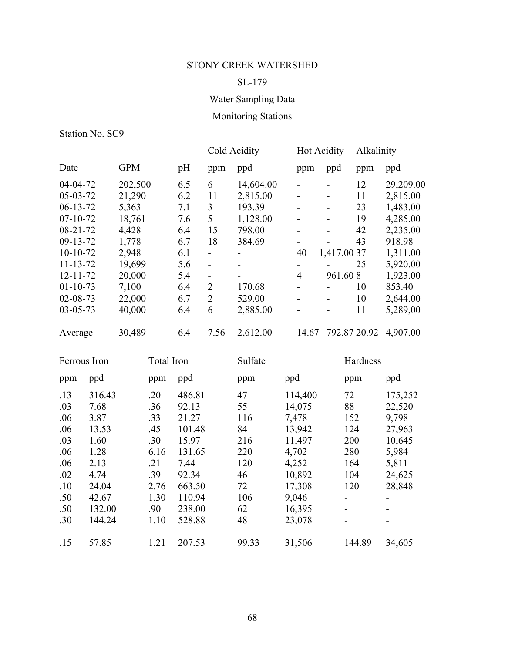## SL-179

# Water Sampling Data

# Monitoring Stations

|                |            |     | Cold Acidity   |           |       | <b>Hot Acidity</b> | Alkalinity |           |
|----------------|------------|-----|----------------|-----------|-------|--------------------|------------|-----------|
| Date           | <b>GPM</b> | pH  | ppm            | ppd       | ppm   | ppd                | ppm        | ppd       |
| 04-04-72       | 202,500    | 6.5 | 6              | 14,604.00 |       |                    | 12         | 29,209.00 |
| $05-03-72$     | 21,290     | 6.2 | 11             | 2,815.00  |       | -                  | 11         | 2,815.00  |
| $06-13-72$     | 5,363      | 7.1 | 3              | 193.39    |       |                    | 23         | 1,483.00  |
| $07 - 10 - 72$ | 18,761     | 7.6 | 5              | 1,128.00  |       |                    | 19         | 4,285.00  |
| $08 - 21 - 72$ | 4,428      | 6.4 | 15             | 798.00    |       |                    | 42         | 2,235.00  |
| $09-13-72$     | 1,778      | 6.7 | 18             | 384.69    |       |                    | 43         | 918.98    |
| $10-10-72$     | 2,948      | 6.1 | -              |           | 40    | 1,417.00 37        |            | 1,311.00  |
| $11 - 13 - 72$ | 19,699     | 5.6 | -              |           |       |                    | 25         | 5,920.00  |
| $12 - 11 - 72$ | 20,000     | 5.4 | $\blacksquare$ |           | 4     | 961.608            |            | 1,923.00  |
| $01 - 10 - 73$ | 7,100      | 6.4 | $\overline{2}$ | 170.68    |       |                    | 10         | 853.40    |
| $02 - 08 - 73$ | 22,000     | 6.7 | 2              | 529.00    |       |                    | 10         | 2,644.00  |
| $03 - 05 - 73$ | 40,000     | 6.4 | 6              | 2,885.00  |       |                    | 11         | 5,289,00  |
| Average        | 30,489     | 6.4 | 7.56           | 2,612.00  | 14.67 | 792.87 20.92       |            | 4,907.00  |

| Ferrous Iron |        | Total Iron |        | Sulfate |         | Hardness                     |         |
|--------------|--------|------------|--------|---------|---------|------------------------------|---------|
| ppm          | ppd    | ppm        | ppd    | ppm     | ppd     | ppm                          | ppd     |
| .13          | 316.43 | .20        | 486.81 | 47      | 114,400 | 72                           | 175,252 |
| .03          | 7.68   | .36        | 92.13  | 55      | 14,075  | 88                           | 22,520  |
| .06          | 3.87   | .33        | 21.27  | 116     | 7,478   | 152                          | 9,798   |
| .06          | 13.53  | .45        | 101.48 | 84      | 13,942  | 124                          | 27,963  |
| .03          | 1.60   | .30        | 15.97  | 216     | 11,497  | 200                          | 10,645  |
| .06          | 1.28   | 6.16       | 131.65 | 220     | 4,702   | 280                          | 5,984   |
| .06          | 2.13   | .21        | 7.44   | 120     | 4,252   | 164                          | 5,811   |
| .02          | 4.74   | .39        | 92.34  | 46      | 10,892  | 104                          | 24,625  |
| .10          | 24.04  | 2.76       | 663.50 | 72      | 17,308  | 120                          | 28,848  |
| .50          | 42.67  | 1.30       | 110.94 | 106     | 9,046   |                              |         |
| .50          | 132.00 | .90        | 238.00 | 62      | 16,395  | $\qquad \qquad \blacksquare$ |         |
| .30          | 144.24 | 1.10       | 528.88 | 48      | 23,078  |                              |         |
| .15          | 57.85  | 1.21       | 207.53 | 99.33   | 31,506  | 144.89                       | 34,605  |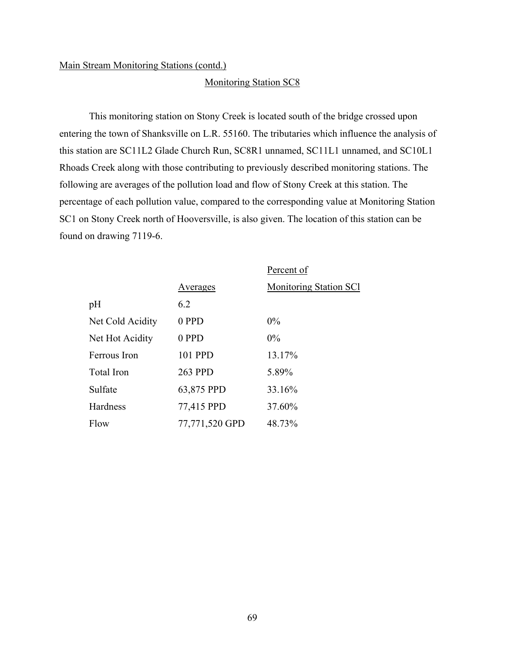#### Monitoring Station SC8

This monitoring station on Stony Creek is located south of the bridge crossed upon entering the town of Shanksville on L.R. 55160. The tributaries which influence the analysis of this station are SC11L2 Glade Church Run, SC8R1 unnamed, SC11L1 unnamed, and SC10L1 Rhoads Creek along with those contributing to previously described monitoring stations. The following are averages of the pollution load and flow of Stony Creek at this station. The percentage of each pollution value, compared to the corresponding value at Monitoring Station SC1 on Stony Creek north of Hooversville, is also given. The location of this station can be found on drawing 7119-6.

|                  |                 | Percent of                    |
|------------------|-----------------|-------------------------------|
|                  | <u>Averages</u> | <b>Monitoring Station SCI</b> |
| pH               | 6.2             |                               |
| Net Cold Acidity | 0 PPD           | $0\%$                         |
| Net Hot Acidity  | 0 PPD           | $0\%$                         |
| Ferrous Iron     | 101 PPD         | 13.17%                        |
| Total Iron       | 263 PPD         | 5.89%                         |
| Sulfate          | 63,875 PPD      | 33.16%                        |
| Hardness         | 77,415 PPD      | 37.60%                        |
| Flow             | 77,771,520 GPD  | 48.73%                        |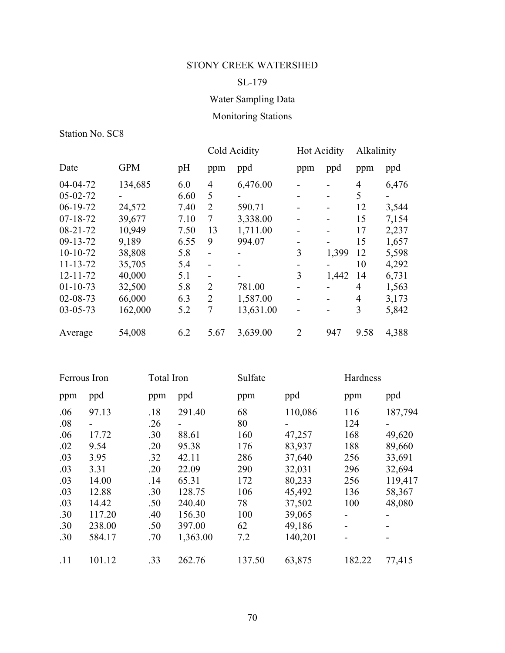## SL-179

# Water Sampling Data

# Monitoring Stations

|                |            |      | Cold Acidity   |           | <b>Hot Acidity</b> |       | Alkalinity     |       |
|----------------|------------|------|----------------|-----------|--------------------|-------|----------------|-------|
| Date           | <b>GPM</b> | pH   | ppm            | ppd       | ppm                | ppd   | ppm            | ppd   |
| 04-04-72       | 134,685    | 6.0  | $\overline{4}$ | 6,476.00  |                    |       | 4              | 6,476 |
| $05 - 02 - 72$ |            | 6.60 | 5              |           |                    |       | 5              |       |
| $06-19-72$     | 24,572     | 7.40 | $\overline{2}$ | 590.71    |                    |       | 12             | 3,544 |
| $07 - 18 - 72$ | 39,677     | 7.10 | 7              | 3,338.00  |                    |       | 15             | 7,154 |
| $08 - 21 - 72$ | 10,949     | 7.50 | 13             | 1,711.00  |                    |       | 17             | 2,237 |
| $09 - 13 - 72$ | 9,189      | 6.55 | 9              | 994.07    |                    |       | 15             | 1,657 |
| $10-10-72$     | 38,808     | 5.8  | $\blacksquare$ |           | 3                  | 1,399 | 12             | 5,598 |
| $11 - 13 - 72$ | 35,705     | 5.4  | -              |           |                    |       | 10             | 4,292 |
| $12 - 11 - 72$ | 40,000     | 5.1  |                |           | 3                  | 1,442 | 14             | 6,731 |
| $01 - 10 - 73$ | 32,500     | 5.8  | $\overline{2}$ | 781.00    |                    |       | 4              | 1,563 |
| $02 - 08 - 73$ | 66,000     | 6.3  | $\overline{2}$ | 1,587.00  |                    |       | $\overline{4}$ | 3,173 |
| $03 - 05 - 73$ | 162,000    | 5.2  | 7              | 13,631.00 |                    |       | 3              | 5,842 |
| Average        | 54,008     | 6.2  | 5.67           | 3,639.00  | $\overline{2}$     | 947   | 9.58           | 4,388 |

| Ferrous Iron |        | Total Iron |          | Sulfate |         | Hardness |         |
|--------------|--------|------------|----------|---------|---------|----------|---------|
| ppm          | ppd    | ppm        | ppd      | ppm     | ppd     | ppm      | ppd     |
| .06          | 97.13  | .18        | 291.40   | 68      | 110,086 | 116      | 187,794 |
| .08          |        | .26        |          | 80      |         | 124      |         |
| .06          | 17.72  | .30        | 88.61    | 160     | 47,257  | 168      | 49,620  |
| .02          | 9.54   | .20        | 95.38    | 176     | 83,937  | 188      | 89,660  |
| .03          | 3.95   | .32        | 42.11    | 286     | 37,640  | 256      | 33,691  |
| .03          | 3.31   | .20        | 22.09    | 290     | 32,031  | 296      | 32,694  |
| .03          | 14.00  | .14        | 65.31    | 172     | 80,233  | 256      | 119,417 |
| .03          | 12.88  | .30        | 128.75   | 106     | 45,492  | 136      | 58,367  |
| .03          | 14.42  | .50        | 240.40   | 78      | 37,502  | 100      | 48,080  |
| .30          | 117.20 | .40        | 156.30   | 100     | 39,065  | -        |         |
| .30          | 238.00 | .50        | 397.00   | 62      | 49,186  |          |         |
| .30          | 584.17 | .70        | 1,363.00 | 7.2     | 140,201 |          |         |
| .11          | 101.12 | .33        | 262.76   | 137.50  | 63,875  | 182.22   | 77,415  |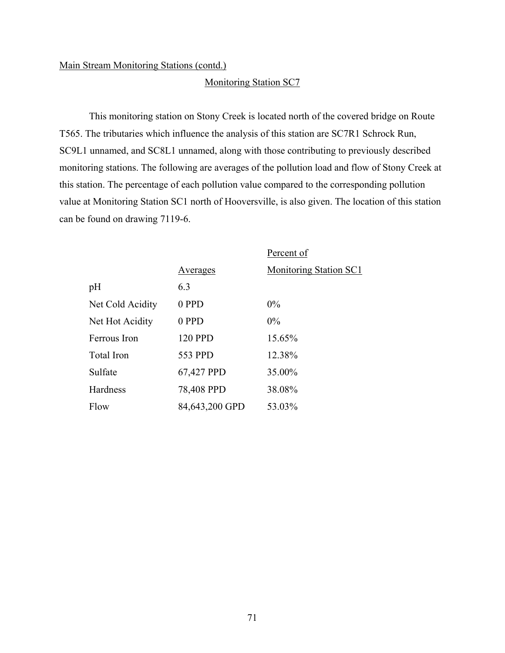#### Monitoring Station SC7

This monitoring station on Stony Creek is located north of the covered bridge on Route T565. The tributaries which influence the analysis of this station are SC7R1 Schrock Run, SC9L1 unnamed, and SC8L1 unnamed, along with those contributing to previously described monitoring stations. The following are averages of the pollution load and flow of Stony Creek at this station. The percentage of each pollution value compared to the corresponding pollution value at Monitoring Station SC1 north of Hooversville, is also given. The location of this station can be found on drawing 7119-6.

|                  |                 | Percent of                    |
|------------------|-----------------|-------------------------------|
|                  | <b>Averages</b> | <b>Monitoring Station SC1</b> |
| pH               | 6.3             |                               |
| Net Cold Acidity | 0 PPD           | $0\%$                         |
| Net Hot Acidity  | 0 PPD           | $0\%$                         |
| Ferrous Iron     | 120 PPD         | 15.65%                        |
| Total Iron       | 553 PPD         | 12.38%                        |
| Sulfate          | 67,427 PPD      | 35.00%                        |
| Hardness         | 78,408 PPD      | 38.08%                        |
| Flow             | 84,643,200 GPD  | 53.03%                        |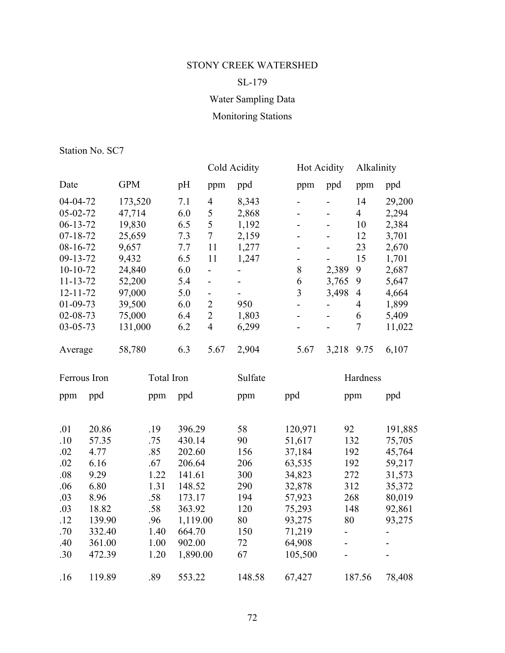# SL-179

# Water Sampling Data

# Monitoring Stations

|                |            |     | Cold Acidity             |         | <b>Hot Acidity</b> |       | Alkalinity     |        |
|----------------|------------|-----|--------------------------|---------|--------------------|-------|----------------|--------|
| Date           | <b>GPM</b> | pH  | ppm                      | ppd     | ppm                | ppd   | ppm            | ppd    |
| $04 - 04 - 72$ | 173,520    | 7.1 | 4                        | 8,343   |                    |       | 14             | 29,200 |
| 05-02-72       | 47,714     | 6.0 | 5                        | 2,868   |                    |       | $\overline{4}$ | 2,294  |
| $06 - 13 - 72$ | 19,830     | 6.5 | 5                        | 1,192   |                    |       | 10             | 2,384  |
| $07 - 18 - 72$ | 25,659     | 7.3 | $\overline{7}$           | 2,159   | -                  |       | 12             | 3,701  |
| 08-16-72       | 9,657      | 7.7 | 11                       | 1,277   |                    |       | 23             | 2,670  |
| 09-13-72       | 9,432      | 6.5 | 11                       | 1,247   | ۰                  |       | 15             | 1,701  |
| $10-10-72$     | 24,840     | 6.0 |                          |         | 8                  | 2,389 | 9              | 2,687  |
| $11 - 13 - 72$ | 52,200     | 5.4 | $\overline{\phantom{a}}$ |         | 6                  | 3,765 | 9              | 5,647  |
| $12 - 11 - 72$ | 97,000     | 5.0 |                          |         | 3                  | 3,498 | $\overline{4}$ | 4,664  |
| $01 - 09 - 73$ | 39,500     | 6.0 | $\overline{2}$           | 950     | -                  |       | 4              | 1,899  |
| $02 - 08 - 73$ | 75,000     | 6.4 | $\overline{2}$           | 1,803   |                    |       | 6              | 5,409  |
| $03 - 05 - 73$ | 131,000    | 6.2 | 4                        | 6,299   |                    |       | 7              | 11,022 |
| Average        | 58,780     | 6.3 | 5.67                     | 2,904   | 5.67               | 3,218 | 9.75           | 6,107  |
| Ferrous Iron   | Total Iron |     |                          | Sulfate |                    |       | Hardness       |        |
| ppd<br>ppm     | ppm        | ppd |                          | ppm     | ppd                | ppm   |                | ppd    |
|                |            |     |                          |         |                    |       |                |        |

| .01 | 20.86  | .19  | 396.29   | 58     | 120,971 | 92                       | 191,885 |
|-----|--------|------|----------|--------|---------|--------------------------|---------|
| .10 | 57.35  | .75  | 430.14   | 90     | 51,617  | 132                      | 75,705  |
| .02 | 4.77   | .85  | 202.60   | 156    | 37,184  | 192                      | 45,764  |
| .02 | 6.16   | .67  | 206.64   | 206    | 63,535  | 192                      | 59,217  |
| .08 | 9.29   | 1.22 | 141.61   | 300    | 34,823  | 272                      | 31,573  |
| .06 | 6.80   | 1.31 | 148.52   | 290    | 32,878  | 312                      | 35,372  |
| .03 | 8.96   | .58  | 173.17   | 194    | 57,923  | 268                      | 80,019  |
| .03 | 18.82  | .58  | 363.92   | 120    | 75,293  | 148                      | 92,861  |
| .12 | 139.90 | .96  | 1,119.00 | 80     | 93,275  | 80                       | 93,275  |
| .70 | 332.40 | 1.40 | 664.70   | 150    | 71,219  | $\overline{\phantom{0}}$ |         |
| .40 | 361.00 | 1.00 | 902.00   | 72     | 64,908  | $\blacksquare$           |         |
| .30 | 472.39 | 1.20 | 1,890.00 | 67     | 105,500 | $\overline{\phantom{0}}$ |         |
|     |        |      |          |        |         |                          |         |
| .16 | 119.89 | .89  | 553.22   | 148.58 | 67,427  | 187.56                   | 78,408  |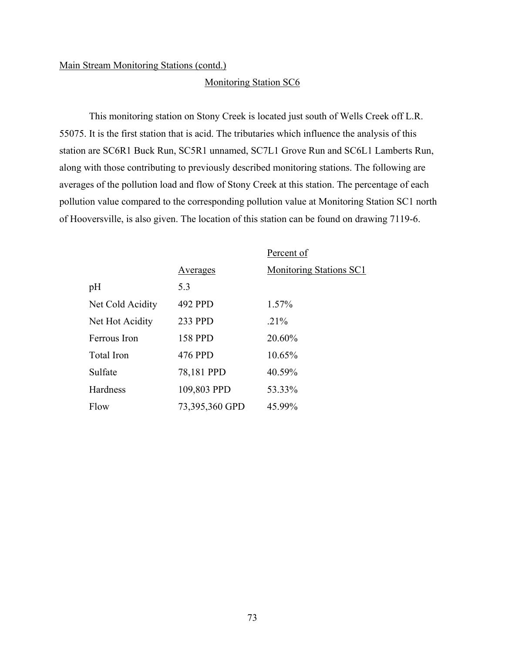#### Monitoring Station SC6

This monitoring station on Stony Creek is located just south of Wells Creek off L.R. 55075. It is the first station that is acid. The tributaries which influence the analysis of this station are SC6R1 Buck Run, SC5R1 unnamed, SC7L1 Grove Run and SC6L1 Lamberts Run, along with those contributing to previously described monitoring stations. The following are averages of the pollution load and flow of Stony Creek at this station. The percentage of each pollution value compared to the corresponding pollution value at Monitoring Station SC1 north of Hooversville, is also given. The location of this station can be found on drawing 7119-6.

|                   |                | Percent of              |
|-------------------|----------------|-------------------------|
|                   | Averages       | Monitoring Stations SC1 |
| pH                | 5.3            |                         |
| Net Cold Acidity  | 492 PPD        | 1.57%                   |
| Net Hot Acidity   | 233 PPD        | $.21\%$                 |
| Ferrous Iron      | <b>158 PPD</b> | 20.60%                  |
| <b>Total Iron</b> | 476 PPD        | 10.65%                  |
| Sulfate           | 78,181 PPD     | 40.59%                  |
| Hardness          | 109,803 PPD    | 53.33%                  |
| Flow              | 73,395,360 GPD | 45.99%                  |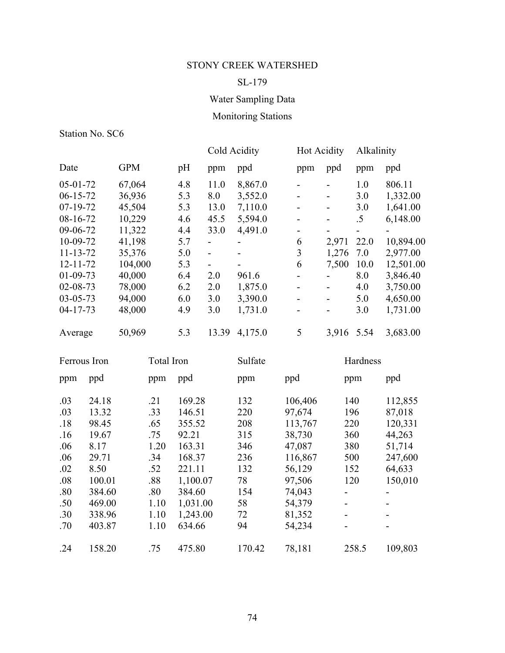## SL-179

# Water Sampling Data

# Monitoring Stations

|                |            |     | Cold Acidity             |         | <b>Hot Acidity</b> |                              | Alkalinity |           |
|----------------|------------|-----|--------------------------|---------|--------------------|------------------------------|------------|-----------|
| Date           | <b>GPM</b> | pH  | ppm                      | ppd     | ppm                | ppd                          | ppm        | ppd       |
| $05-01-72$     | 67,064     | 4.8 | 11.0                     | 8,867.0 |                    |                              | 1.0        | 806.11    |
| $06-15-72$     | 36,936     | 5.3 | 8.0                      | 3,552.0 | $\overline{a}$     | $\qquad \qquad \blacksquare$ | 3.0        | 1,332.00  |
| $07-19-72$     | 45,504     | 5.3 | 13.0                     | 7,110.0 | $\overline{a}$     |                              | 3.0        | 1,641.00  |
| $08-16-72$     | 10,229     | 4.6 | 45.5                     | 5,594.0 |                    |                              | $.5\,$     | 6,148.00  |
| 09-06-72       | 11,322     | 4.4 | 33.0                     | 4,491.0 |                    |                              | ۰          |           |
| 10-09-72       | 41,198     | 5.7 | -                        | -       | 6                  | 2,971                        | 22.0       | 10,894.00 |
| $11 - 13 - 72$ | 35,376     | 5.0 | $\overline{\phantom{0}}$ |         | 3                  | 1,276                        | 7.0        | 2,977.00  |
| $12 - 11 - 72$ | 104,000    | 5.3 |                          |         | 6                  | 7,500                        | 10.0       | 12,501.00 |
| $01-09-73$     | 40,000     | 6.4 | 2.0                      | 961.6   |                    |                              | 8.0        | 3,846.40  |
| $02 - 08 - 73$ | 78,000     | 6.2 | 2.0                      | 1,875.0 |                    |                              | 4.0        | 3,750.00  |
| $03 - 05 - 73$ | 94,000     | 6.0 | 3.0                      | 3,390.0 |                    |                              | 5.0        | 4,650.00  |
| $04 - 17 - 73$ | 48,000     | 4.9 | 3.0                      | 1,731.0 |                    |                              | 3.0        | 1,731.00  |
| Average        | 50,969     | 5.3 | 13.39                    | 4,175.0 | 5                  | 3,916                        | 5.54       | 3,683.00  |

| Ferrous Iron                                                       |                                                                                         | Total Iron                                                           |                                                                                                     | Sulfate                                                          |                                                                                                     | Hardness                                                                              |                                                                                  |
|--------------------------------------------------------------------|-----------------------------------------------------------------------------------------|----------------------------------------------------------------------|-----------------------------------------------------------------------------------------------------|------------------------------------------------------------------|-----------------------------------------------------------------------------------------------------|---------------------------------------------------------------------------------------|----------------------------------------------------------------------------------|
| ppm                                                                | ppd                                                                                     | ppm                                                                  | ppd                                                                                                 | ppm                                                              | ppd                                                                                                 | ppm                                                                                   | ppd                                                                              |
| .03<br>.03<br>.18<br>.16<br>.06<br>.06<br>.02<br>.08<br>.80<br>.50 | 24.18<br>13.32<br>98.45<br>19.67<br>8.17<br>29.71<br>8.50<br>100.01<br>384.60<br>469.00 | .21<br>.33<br>.65<br>.75<br>1.20<br>.34<br>.52<br>.88<br>.80<br>1.10 | 169.28<br>146.51<br>355.52<br>92.21<br>163.31<br>168.37<br>221.11<br>1,100.07<br>384.60<br>1,031.00 | 132<br>220<br>208<br>315<br>346<br>236<br>132<br>78<br>154<br>58 | 106,406<br>97,674<br>113,767<br>38,730<br>47,087<br>116,867<br>56,129<br>97,506<br>74,043<br>54,379 | 140<br>196<br>220<br>360<br>380<br>500<br>152<br>120<br>-<br>$\overline{\phantom{a}}$ | 112,855<br>87,018<br>120,331<br>44,263<br>51,714<br>247,600<br>64,633<br>150,010 |
| .30<br>.70                                                         | 338.96<br>403.87                                                                        | 1.10<br>1.10                                                         | 1,243.00<br>634.66                                                                                  | 72<br>94                                                         | 81,352<br>54,234                                                                                    | -                                                                                     |                                                                                  |
| .24                                                                | 158.20                                                                                  | .75                                                                  | 475.80                                                                                              | 170.42                                                           | 78,181                                                                                              | 258.5                                                                                 | 109,803                                                                          |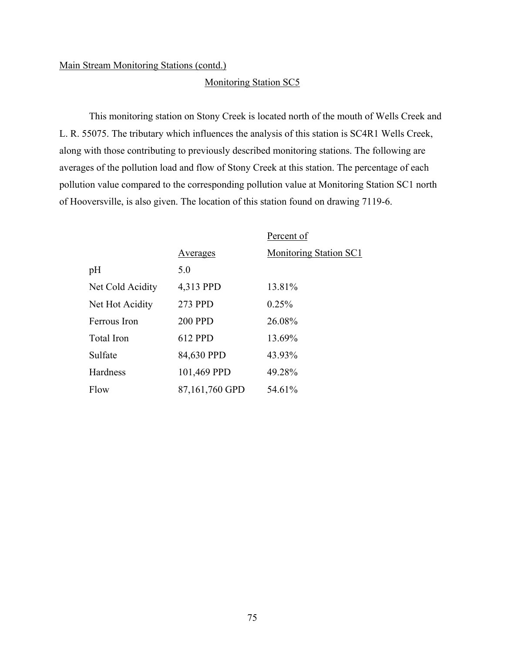#### Monitoring Station SC5

This monitoring station on Stony Creek is located north of the mouth of Wells Creek and L. R. 55075. The tributary which influences the analysis of this station is SC4R1 Wells Creek, along with those contributing to previously described monitoring stations. The following are averages of the pollution load and flow of Stony Creek at this station. The percentage of each pollution value compared to the corresponding pollution value at Monitoring Station SC1 north of Hooversville, is also given. The location of this station found on drawing 7119-6.

|                   |                | Percent of                    |
|-------------------|----------------|-------------------------------|
|                   | Averages       | <b>Monitoring Station SC1</b> |
| pH                | 5.0            |                               |
| Net Cold Acidity  | 4,313 PPD      | 13.81%                        |
| Net Hot Acidity   | 273 PPD        | 0.25%                         |
| Ferrous Iron      | <b>200 PPD</b> | 26.08%                        |
| <b>Total Iron</b> | 612 PPD        | 13.69%                        |
| Sulfate           | 84,630 PPD     | 43.93%                        |
| Hardness          | 101,469 PPD    | 49.28%                        |
| Flow              | 87,161,760 GPD | 54.61%                        |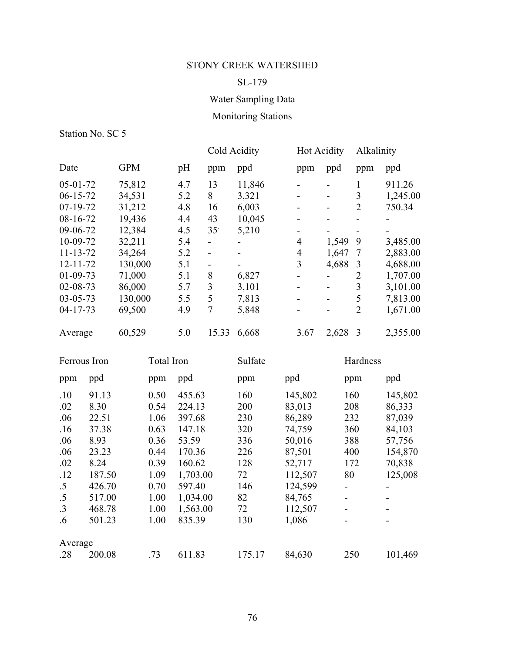## SL-179

# Water Sampling Data

# Monitoring Stations

|                |        |            |          |                          | Cold Acidity             |                          | <b>Hot Acidity</b>       |                          | Alkalinity                   |  |
|----------------|--------|------------|----------|--------------------------|--------------------------|--------------------------|--------------------------|--------------------------|------------------------------|--|
| Date           |        | <b>GPM</b> | pH       | ppm                      | ppd                      | ppm                      | ppd                      | ppm                      | ppd                          |  |
| $05 - 01 - 72$ |        | 75,812     | 4.7      | 13                       | 11,846                   | $\blacksquare$           | $\overline{a}$           | $\mathbf{1}$             | 911.26                       |  |
| $06 - 15 - 72$ |        | 34,531     | 5.2      | 8                        | 3,321                    | $\overline{a}$           | $\overline{a}$           | $\overline{\mathbf{3}}$  | 1,245.00                     |  |
| 07-19-72       |        | 31,212     | 4.8      | 16                       | 6,003                    | $\overline{\phantom{0}}$ | $\overline{\phantom{0}}$ | $\overline{2}$           | 750.34                       |  |
| 08-16-72       |        | 19,436     | 4.4      | 43                       | 10,045                   | $\overline{a}$           | $\overline{a}$           | $\overline{\phantom{0}}$ |                              |  |
| 09-06-72       |        | 12,384     | 4.5      | 35 <sup>°</sup>          | 5,210                    | $\overline{\phantom{0}}$ | $\overline{a}$           | $\overline{\phantom{0}}$ |                              |  |
| 10-09-72       |        | 32,211     | 5.4      | $\overline{\phantom{0}}$ |                          | $\overline{4}$           | 1,549                    | 9                        | 3,485.00                     |  |
| $11 - 13 - 72$ |        | 34,264     | 5.2      | $\overline{\phantom{0}}$ | $\overline{\phantom{0}}$ | $\overline{4}$           | 1,647                    | $\tau$                   | 2,883.00                     |  |
| $12 - 11 - 72$ |        | 130,000    | 5.1      | $\frac{1}{2}$            |                          | $\overline{3}$           | 4,688                    | $\mathfrak{Z}$           | 4,688.00                     |  |
| $01 - 09 - 73$ |        | 71,000     | 5.1      | 8                        | 6,827                    | $\overline{a}$           | $\overline{a}$           | $\overline{2}$           | 1,707.00                     |  |
| $02 - 08 - 73$ |        | 86,000     | 5.7      | $\mathfrak{Z}$           | 3,101                    | $\overline{\phantom{0}}$ | $\blacksquare$           | $\overline{\mathbf{3}}$  | 3,101.00                     |  |
| $03 - 05 - 73$ |        | 130,000    | 5.5      | 5                        | 7,813                    | $\overline{a}$           | $\overline{a}$           | 5                        | 7,813.00                     |  |
| $04 - 17 - 73$ |        | 69,500     | 4.9      | $\overline{7}$           | 5,848                    | $\overline{\phantom{0}}$ | $\overline{\phantom{a}}$ | $\overline{2}$           | 1,671.00                     |  |
| Average        |        | 60,529     | 5.0      | 15.33                    | 6,668                    | 3.67                     | 2,628                    | $\overline{3}$           | 2,355.00                     |  |
| Ferrous Iron   |        | Total Iron |          |                          | Sulfate                  |                          |                          | Hardness                 |                              |  |
| ppm            | ppd    | ppm        | ppd      |                          | ppm                      | ppd                      |                          | ppm                      | ppd                          |  |
| .10            | 91.13  | 0.50       | 455.63   |                          | 160                      | 145,802                  |                          | 160                      | 145,802                      |  |
| .02            | 8.30   | 0.54       | 224.13   |                          | 200                      | 83,013                   | 208                      |                          | 86,333                       |  |
| .06            | 22.51  | 1.06       | 397.68   |                          | 230                      | 86,289                   | 232                      |                          | 87,039                       |  |
| .16            | 37.38  | 0.63       | 147.18   |                          | 320                      | 74,759                   | 360                      |                          | 84,103                       |  |
| .06            | 8.93   | 0.36       | 53.59    |                          | 336                      | 50,016                   | 388                      |                          | 57,756                       |  |
| .06            | 23.23  | 0.44       | 170.36   |                          | 226                      | 87,501                   | 400                      |                          | 154,870                      |  |
| .02            | 8.24   | 0.39       | 160.62   |                          | 128                      | 52,717                   | 172                      |                          | 70,838                       |  |
| .12            | 187.50 | 1.09       | 1,703.00 |                          | 72                       | 112,507                  | 80                       |                          | 125,008                      |  |
| $.5\,$         | 426.70 | 0.70       | 597.40   |                          | 146                      | 124,599                  | $\overline{\phantom{0}}$ |                          | $\overline{\phantom{0}}$     |  |
| $.5\,$         | 517.00 | 1.00       | 1,034.00 |                          | 82                       | 84,765                   | $\overline{\phantom{0}}$ |                          | -                            |  |
| $\cdot$ 3      | 468.78 | 1.00       | 1,563.00 |                          | 72                       | 112,507                  | $\overline{\phantom{0}}$ |                          | $\qquad \qquad \blacksquare$ |  |
| .6             | 501.23 | 1.00       | 835.39   |                          | 130                      | 1,086                    | $\overline{\phantom{0}}$ |                          | $\qquad \qquad \blacksquare$ |  |
| Average        |        |            |          |                          |                          |                          |                          |                          |                              |  |
| .28            | 200.08 | .73        | 611.83   |                          | 175.17                   | 84,630                   | 250                      |                          | 101,469                      |  |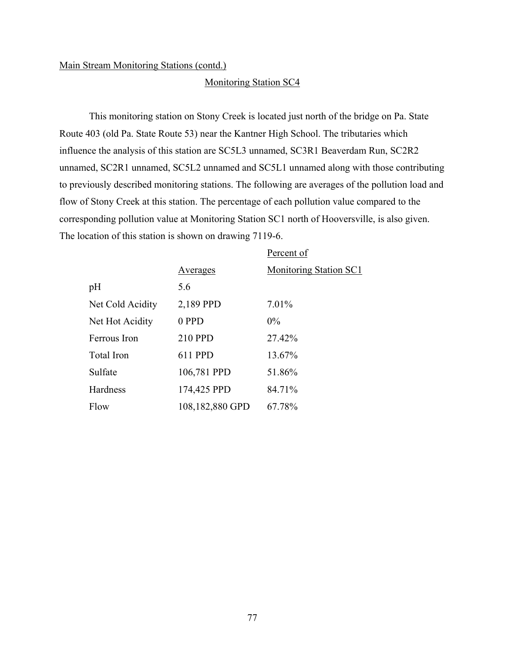#### Monitoring Station SC4

This monitoring station on Stony Creek is located just north of the bridge on Pa. State Route 403 (old Pa. State Route 53) near the Kantner High School. The tributaries which influence the analysis of this station are SC5L3 unnamed, SC3R1 Beaverdam Run, SC2R2 unnamed, SC2R1 unnamed, SC5L2 unnamed and SC5L1 unnamed along with those contributing to previously described monitoring stations. The following are averages of the pollution load and flow of Stony Creek at this station. The percentage of each pollution value compared to the corresponding pollution value at Monitoring Station SC1 north of Hooversville, is also given. The location of this station is shown on drawing 7119-6.

|                   |                 | Percent of                    |
|-------------------|-----------------|-------------------------------|
|                   | <b>Averages</b> | <b>Monitoring Station SC1</b> |
| pH                | 5.6             |                               |
| Net Cold Acidity  | 2,189 PPD       | 7.01%                         |
| Net Hot Acidity   | 0 PPD           | $0\%$                         |
| Ferrous Iron      | 210 PPD         | 27.42%                        |
| <b>Total Iron</b> | 611 PPD         | 13.67%                        |
| Sulfate           | 106,781 PPD     | 51.86%                        |
| Hardness          | 174,425 PPD     | 84.71%                        |
| Flow              | 108,182,880 GPD | 67.78%                        |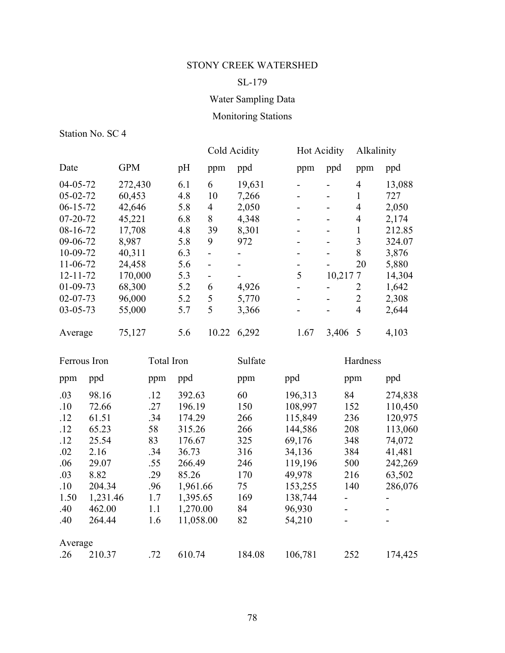## SL-179

## Water Sampling Data

## Monitoring Stations

Station No. SC 4

Average

|                |       |            |            |        |                          | Cold Acidity | <b>Hot Acidity</b> |         | Alkalinity              |         |
|----------------|-------|------------|------------|--------|--------------------------|--------------|--------------------|---------|-------------------------|---------|
| Date           |       | <b>GPM</b> |            | pH     | ppm                      | ppd          | ppm                | ppd     | ppm                     | ppd     |
| 04-05-72       |       | 272,430    |            | 6.1    | 6                        | 19,631       |                    |         | 4                       | 13,088  |
| 05-02-72       |       | 60,453     |            | 4.8    | 10                       | 7,266        |                    |         | $\mathbf{1}$            | 727     |
| $06 - 15 - 72$ |       | 42,646     |            | 5.8    | $\overline{4}$           | 2,050        |                    |         | 4                       | 2,050   |
| 07-20-72       |       | 45,221     |            | 6.8    | 8                        | 4,348        |                    |         | 4                       | 2,174   |
| 08-16-72       |       | 17,708     |            | 4.8    | 39                       | 8,301        |                    |         | $\mathbf{1}$            | 212.85  |
| 09-06-72       |       | 8,987      |            | 5.8    | 9                        | 972          |                    |         | $\overline{\mathbf{3}}$ | 324.07  |
| 10-09-72       |       | 40,311     |            | 6.3    | $\overline{\phantom{0}}$ |              |                    |         | 8                       | 3,876   |
| 11-06-72       |       | 24,458     |            | 5.6    | $\overline{a}$           |              |                    |         | 20                      | 5,880   |
| $12 - 11 - 72$ |       | 170,000    |            | 5.3    | $\blacksquare$           |              | 5                  | 10,2177 |                         | 14,304  |
| 01-09-73       |       | 68,300     |            | 5.2    | 6                        | 4,926        |                    |         | 2                       | 1,642   |
| $02 - 07 - 73$ |       | 96,000     |            | 5.2    | 5                        | 5,770        |                    |         | $\overline{2}$          | 2,308   |
| $03 - 05 - 73$ |       | 55,000     |            | 5.7    | 5                        | 3,366        |                    |         | $\overline{4}$          | 2,644   |
| Average        |       | 75,127     |            | 5.6    | 10.22                    | 6,292        | 1.67               | 3,406   | 5                       | 4,103   |
| Ferrous Iron   |       |            | Total Iron |        |                          | Sulfate      |                    |         | Hardness                |         |
| ppm            | ppd   |            | ppm        | ppd    |                          | ppm          | ppd                |         | ppm                     | ppd     |
| .03            | 98.16 |            | .12        | 392.63 |                          | 60           | 196,313            | 84      |                         | 274,838 |
| .10            | 72.66 |            | .27        | 196.19 |                          | 150          | 108,997            | 152     |                         | 110,450 |
| .12            | 61.51 |            | .34        | 174.29 |                          | 266          | 115,849            | 236     |                         | 120,975 |
| .12            | 65.23 |            | 58         | 315.26 |                          | 266          | 144,586            | 208     |                         | 113,060 |
| .12            | 25.54 |            | 83         | 176.67 |                          | 325          | 69,176             | 348     |                         | 74,072  |
| .02            | 2.16  |            | .34        | 36.73  |                          | 316          | 34,136             | 384     |                         | 41,481  |

.06 29.07 .55 266.49 246 119,196 500 242,269 .03 8.82 .29 85.26 170 49,978 216 63,502 .10 204.34 .96 1,961.66 75 153,255 140 286,076

1.50 1,231.46 1.7 1,395.65 169 138,744 - - .40 462.00 1.1 1,270.00 84 96,930 - -

| .40     | 264.44 |     | 1.6 11,058.00 | - 82   | 54,210  | $\blacksquare$ | -       |
|---------|--------|-----|---------------|--------|---------|----------------|---------|
| Average |        |     |               |        |         |                |         |
| .26     | 210.37 | .72 | 610.74        | 184.08 | 106,781 | 252            | 174,425 |
|         |        |     |               |        |         |                |         |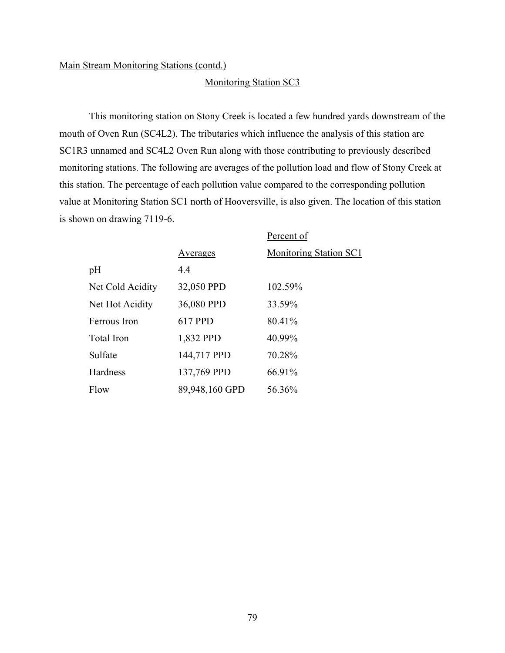#### Monitoring Station SC3

This monitoring station on Stony Creek is located a few hundred yards downstream of the mouth of Oven Run (SC4L2). The tributaries which influence the analysis of this station are SC1R3 unnamed and SC4L2 Oven Run along with those contributing to previously described monitoring stations. The following are averages of the pollution load and flow of Stony Creek at this station. The percentage of each pollution value compared to the corresponding pollution value at Monitoring Station SC1 north of Hooversville, is also given. The location of this station is shown on drawing 7119-6.

|                  |                | Percent of                    |
|------------------|----------------|-------------------------------|
|                  | Averages       | <b>Monitoring Station SC1</b> |
| pH               | 4.4            |                               |
| Net Cold Acidity | 32,050 PPD     | 102.59%                       |
| Net Hot Acidity  | 36,080 PPD     | 33.59%                        |
| Ferrous Iron     | 617 PPD        | 80.41%                        |
| Total Iron       | 1,832 PPD      | 40.99%                        |
| Sulfate          | 144,717 PPD    | 70.28%                        |
| Hardness         | 137,769 PPD    | 66.91%                        |
| Flow             | 89,948,160 GPD | 56.36%                        |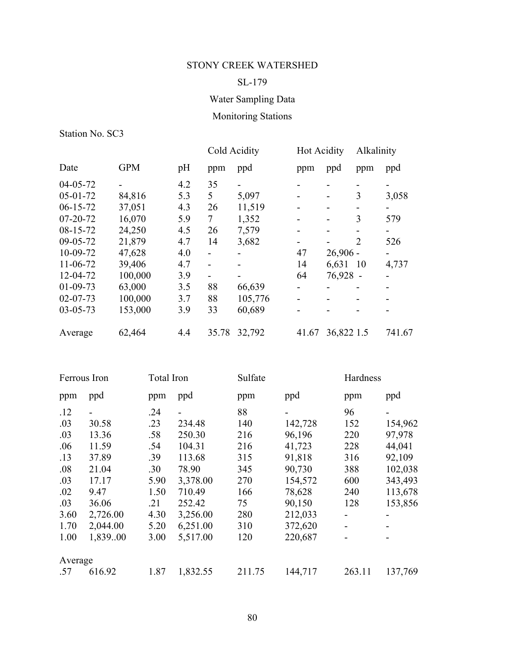## SL-179

# Water Sampling Data

# Monitoring Stations

|                |            |     | Cold Acidity |         | <b>Hot Acidity</b> |            | Alkalinity     |        |
|----------------|------------|-----|--------------|---------|--------------------|------------|----------------|--------|
| Date           | <b>GPM</b> | pH  | ppm          | ppd     | ppm                | ppd        | ppm            | ppd    |
| $04 - 05 - 72$ |            | 4.2 | 35           |         |                    |            |                |        |
| $05 - 01 - 72$ | 84,816     | 5.3 | 5            | 5,097   |                    | -          | 3              | 3,058  |
| $06-15-72$     | 37,051     | 4.3 | 26           | 11,519  |                    |            |                |        |
| $07 - 20 - 72$ | 16,070     | 5.9 | 7            | 1,352   |                    |            | 3              | 579    |
| $08-15-72$     | 24,250     | 4.5 | 26           | 7,579   |                    |            |                |        |
| 09-05-72       | 21,879     | 4.7 | 14           | 3,682   |                    |            | $\overline{2}$ | 526    |
| 10-09-72       | 47,628     | 4.0 | -            |         | 47                 | $26,906 -$ |                |        |
| $11-06-72$     | 39,406     | 4.7 | -            |         | 14                 | 6,631      | 10             | 4,737  |
| 12-04-72       | 100,000    | 3.9 |              |         | 64                 | 76,928     |                |        |
| $01 - 09 - 73$ | 63,000     | 3.5 | 88           | 66,639  |                    |            |                |        |
| $02 - 07 - 73$ | 100,000    | 3.7 | 88           | 105,776 |                    |            |                |        |
| $03 - 05 - 73$ | 153,000    | 3.9 | 33           | 60,689  |                    |            |                |        |
| Average        | 62,464     | 4.4 | 35.78        | 32,792  | 41.67              | 36,822 1.5 |                | 741.67 |

|         | Ferrous Iron | <b>Total Iron</b> |                | Sulfate |         | Hardness |         |
|---------|--------------|-------------------|----------------|---------|---------|----------|---------|
| ppm     | ppd          | ppm               | ppd            | ppm     | ppd     | ppm      | ppd     |
| .12     |              | .24               | $\blacksquare$ | 88      | -       | 96       |         |
| .03     | 30.58        | .23               | 234.48         | 140     | 142,728 | 152      | 154,962 |
| .03     | 13.36        | .58               | 250.30         | 216     | 96,196  | 220      | 97,978  |
| .06     | 11.59        | .54               | 104.31         | 216     | 41,723  | 228      | 44,041  |
| .13     | 37.89        | .39               | 113.68         | 315     | 91,818  | 316      | 92,109  |
| .08     | 21.04        | .30               | 78.90          | 345     | 90,730  | 388      | 102,038 |
| .03     | 17.17        | 5.90              | 3,378.00       | 270     | 154,572 | 600      | 343,493 |
| .02     | 9.47         | 1.50              | 710.49         | 166     | 78,628  | 240      | 113,678 |
| .03     | 36.06        | .21               | 252.42         | 75      | 90,150  | 128      | 153,856 |
| 3.60    | 2,726.00     | 4.30              | 3,256.00       | 280     | 212,033 | -        |         |
| 1.70    | 2,044.00     | 5.20              | 6,251.00       | 310     | 372,620 |          |         |
| 1.00    | 1,83900      | 3.00              | 5,517.00       | 120     | 220,687 |          |         |
| Average |              |                   |                |         |         |          |         |
| .57     | 616.92       | 1.87              | 1,832.55       | 211.75  | 144,717 | 263.11   | 137,769 |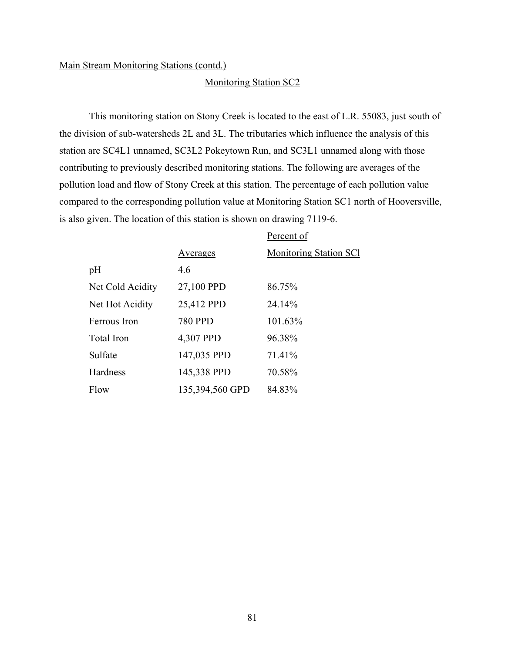#### Monitoring Station SC2

This monitoring station on Stony Creek is located to the east of L.R. 55083, just south of the division of sub-watersheds 2L and 3L. The tributaries which influence the analysis of this station are SC4L1 unnamed, SC3L2 Pokeytown Run, and SC3L1 unnamed along with those contributing to previously described monitoring stations. The following are averages of the pollution load and flow of Stony Creek at this station. The percentage of each pollution value compared to the corresponding pollution value at Monitoring Station SC1 north of Hooversville, is also given. The location of this station is shown on drawing 7119-6.

|                  |                 | Percent of                    |
|------------------|-----------------|-------------------------------|
|                  | Averages        | <b>Monitoring Station SCI</b> |
| pH               | 4.6             |                               |
| Net Cold Acidity | 27,100 PPD      | 86.75%                        |
| Net Hot Acidity  | 25,412 PPD      | 24.14%                        |
| Ferrous Iron     | <b>780 PPD</b>  | 101.63%                       |
| Total Iron       | 4,307 PPD       | 96.38%                        |
| Sulfate          | 147,035 PPD     | 71.41%                        |
| Hardness         | 145,338 PPD     | 70.58%                        |
| Flow             | 135,394,560 GPD | 84.83%                        |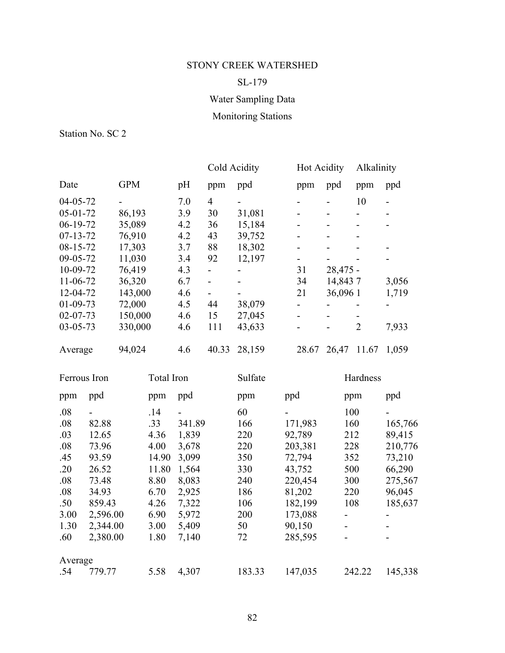## SL-179

# Water Sampling Data

# Monitoring Stations

|                |            |     | Cold Acidity   |                          | <b>Hot Acidity</b> |            | Alkalinity     |       |
|----------------|------------|-----|----------------|--------------------------|--------------------|------------|----------------|-------|
| Date           | <b>GPM</b> | pH  | ppm            | ppd                      | ppm                | ppd        | ppm            | ppd   |
| $04 - 05 - 72$ |            | 7.0 | $\overline{4}$ |                          |                    |            | 10             |       |
| $05 - 01 - 72$ | 86,193     | 3.9 | 30             | 31,081                   |                    |            |                |       |
| $06-19-72$     | 35,089     | 4.2 | 36             | 15,184                   |                    |            |                |       |
| $07 - 13 - 72$ | 76,910     | 4.2 | 43             | 39,752                   |                    |            |                |       |
| $08 - 15 - 72$ | 17,303     | 3.7 | 88             | 18,302                   |                    |            |                |       |
| $09 - 05 - 72$ | 11,030     | 3.4 | 92             | 12,197                   |                    |            |                |       |
| 10-09-72       | 76,419     | 4.3 | Ξ.             |                          | 31                 | $28,475 -$ |                |       |
| $11-06-72$     | 36,320     | 6.7 | -              |                          | 34                 | 14,8437    |                | 3,056 |
| 12-04-72       | 143,000    | 4.6 | Ξ.             | $\overline{\phantom{a}}$ | 21                 | 36,096 1   |                | 1,719 |
| $01-09-73$     | 72,000     | 4.5 | 44             | 38,079                   |                    |            |                |       |
| $02 - 07 - 73$ | 150,000    | 4.6 | 15             | 27,045                   |                    |            |                |       |
| $03 - 05 - 73$ | 330,000    | 4.6 | 111            | 43,633                   |                    |            | $\overline{2}$ | 7,933 |
| Average        | 94,024     | 4.6 | 40.33          | 28,159                   | 28.67              | 26,47      | 11.67          | 1,059 |

| Ferrous Iron |          |       | Total Iron |        | Sulfate |                              | Hardness |  |
|--------------|----------|-------|------------|--------|---------|------------------------------|----------|--|
| ppm          | ppd      | ppm   | ppd        | ppm    | ppd     | ppm                          | ppd      |  |
| .08          |          | .14   | -          | 60     |         | 100                          |          |  |
| .08          | 82.88    | .33   | 341.89     | 166    | 171,983 | 160                          | 165,766  |  |
| .03          | 12.65    | 4.36  | 1,839      | 220    | 92,789  | 212                          | 89,415   |  |
| .08          | 73.96    | 4.00  | 3,678      | 220    | 203,381 | 228                          | 210,776  |  |
| .45          | 93.59    | 14.90 | 3,099      | 350    | 72,794  | 352                          | 73,210   |  |
| .20          | 26.52    | 11.80 | 1,564      | 330    | 43,752  | 500                          | 66,290   |  |
| .08          | 73.48    | 8.80  | 8,083      | 240    | 220,454 | 300                          | 275,567  |  |
| .08          | 34.93    | 6.70  | 2,925      | 186    | 81,202  | 220                          | 96,045   |  |
| .50          | 859.43   | 4.26  | 7,322      | 106    | 182,199 | 108                          | 185,637  |  |
| 3.00         | 2,596.00 | 6.90  | 5,972      | 200    | 173,088 | -                            |          |  |
| 1.30         | 2,344.00 | 3.00  | 5,409      | 50     | 90,150  | $\qquad \qquad \blacksquare$ |          |  |
| .60          | 2,380.00 | 1.80  | 7,140      | 72     | 285,595 |                              |          |  |
| Average      |          |       |            |        |         |                              |          |  |
| .54          | 779.77   | 5.58  | 4,307      | 183.33 | 147,035 | 242.22                       | 145,338  |  |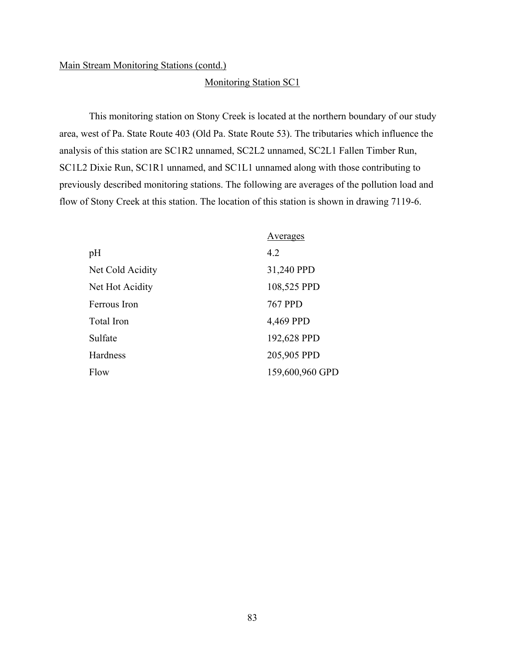### Monitoring Station SC1

This monitoring station on Stony Creek is located at the northern boundary of our study area, west of Pa. State Route 403 (Old Pa. State Route 53). The tributaries which influence the analysis of this station are SC1R2 unnamed, SC2L2 unnamed, SC2L1 Fallen Timber Run, SC1L2 Dixie Run, SC1R1 unnamed, and SC1L1 unnamed along with those contributing to previously described monitoring stations. The following are averages of the pollution load and flow of Stony Creek at this station. The location of this station is shown in drawing 7119-6.

|                  | Averages        |
|------------------|-----------------|
| pH               | 4.2             |
| Net Cold Acidity | 31,240 PPD      |
| Net Hot Acidity  | 108,525 PPD     |
| Ferrous Iron     | <b>767 PPD</b>  |
| Total Iron       | 4,469 PPD       |
| Sulfate          | 192,628 PPD     |
| Hardness         | 205,905 PPD     |
| Flow             | 159,600,960 GPD |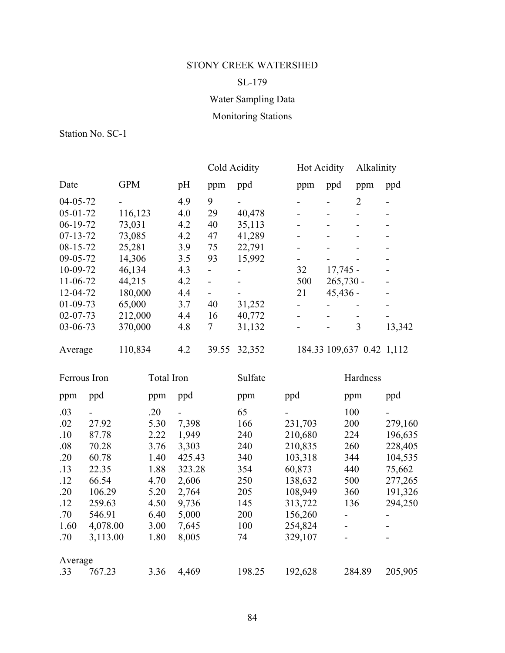## SL-179

# Water Sampling Data

# Monitoring Stations

|                |            |     | Cold Acidity   |        | Hot Acidity    |                           | Alkalinity     |        |
|----------------|------------|-----|----------------|--------|----------------|---------------------------|----------------|--------|
| Date           | <b>GPM</b> | pH  | ppm            | ppd    | ppm            | ppd                       | ppm            | ppd    |
| $04 - 05 - 72$ |            | 4.9 | 9              |        |                |                           | $\overline{2}$ |        |
| $05 - 01 - 72$ | 116,123    | 4.0 | 29             | 40,478 |                |                           |                |        |
| $06-19-72$     | 73,031     | 4.2 | 40             | 35,113 |                |                           |                |        |
| $07 - 13 - 72$ | 73,085     | 4.2 | 47             | 41,289 |                |                           |                |        |
| $08 - 15 - 72$ | 25,281     | 3.9 | 75             | 22,791 |                |                           |                |        |
| 09-05-72       | 14,306     | 3.5 | 93             | 15,992 | Ξ.             |                           |                |        |
| 10-09-72       | 46,134     | 4.3 |                |        | 32             | $17,745 -$                |                |        |
| $11-06-72$     | 44,215     | 4.2 |                |        | 500            | $265,730 -$               |                |        |
| 12-04-72       | 180,000    | 4.4 | $\blacksquare$ |        | 21             | $45,436 -$                |                |        |
| $01-09-73$     | 65,000     | 3.7 | 40             | 31,252 |                |                           |                |        |
| $02 - 07 - 73$ | 212,000    | 4.4 | 16             | 40,772 |                |                           |                |        |
| $03 - 06 - 73$ | 370,000    | 4.8 | 7              | 31,132 | $\blacksquare$ |                           | 3              | 13,342 |
| Average        | 110,834    | 4.2 | 39.55          | 32,352 |                | 184.33 109,637 0.42 1,112 |                |        |

| Ferrous Iron |          |      | <b>Total Iron</b> |        | Sulfate                  |                          | Hardness |  |
|--------------|----------|------|-------------------|--------|--------------------------|--------------------------|----------|--|
| ppm          | ppd      | ppm  | ppd               | ppm    | ppd                      | ppm                      | ppd      |  |
| .03          |          | .20  | $\blacksquare$    | 65     | $\overline{\phantom{0}}$ | 100                      |          |  |
| .02          | 27.92    | 5.30 | 7,398             | 166    | 231,703                  | 200                      | 279,160  |  |
| .10          | 87.78    | 2.22 | 1,949             | 240    | 210,680                  | 224                      | 196,635  |  |
| .08          | 70.28    | 3.76 | 3,303             | 240    | 210,835                  | 260                      | 228,405  |  |
| .20          | 60.78    | 1.40 | 425.43            | 340    | 103,318                  | 344                      | 104,535  |  |
| .13          | 22.35    | 1.88 | 323.28            | 354    | 60,873                   | 440                      | 75,662   |  |
| .12          | 66.54    | 4.70 | 2,606             | 250    | 138,632                  | 500                      | 277,265  |  |
| .20          | 106.29   | 5.20 | 2,764             | 205    | 108,949                  | 360                      | 191,326  |  |
| .12          | 259.63   | 4.50 | 9,736             | 145    | 313,722                  | 136                      | 294,250  |  |
| .70          | 546.91   | 6.40 | 5,000             | 200    | 156,260                  | $\overline{\phantom{0}}$ |          |  |
| 1.60         | 4,078.00 | 3.00 | 7,645             | 100    | 254,824                  | $\blacksquare$           |          |  |
| .70          | 3,113.00 | 1.80 | 8,005             | 74     | 329,107                  | $\overline{\phantom{0}}$ |          |  |
| Average      |          |      |                   |        |                          |                          |          |  |
| .33          | 767.23   | 3.36 | 4,469             | 198.25 | 192,628                  | 284.89                   | 205,905  |  |